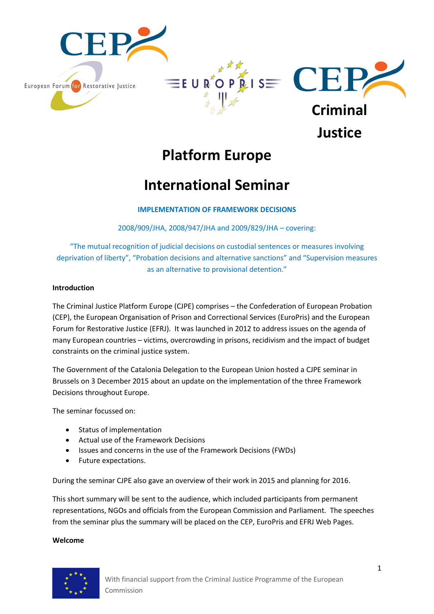

# **Platform Europe**

# **International Seminar**

## **IMPLEMENTATION OF FRAMEWORK DECISIONS**

2008/909/JHA, 2008/947/JHA and 2009/829/JHA – covering:

"The mutual recognition of judicial decisions on custodial sentences or measures involving deprivation of liberty", "Probation decisions and alternative sanctions" and "Supervision measures as an alternative to provisional detention."

#### **Introduction**

The Criminal Justice Platform Europe (CJPE) comprises – the Confederation of European Probation (CEP), the European Organisation of Prison and Correctional Services (EuroPris) and the European Forum for Restorative Justice (EFRJ). It was launched in 2012 to address issues on the agenda of many European countries – victims, overcrowding in prisons, recidivism and the impact of budget constraints on the criminal justice system.

The Government of the Catalonia Delegation to the European Union hosted a CJPE seminar in Brussels on 3 December 2015 about an update on the implementation of the three Framework Decisions throughout Europe.

The seminar focussed on:

- Status of implementation
- Actual use of the Framework Decisions
- Issues and concerns in the use of the Framework Decisions (FWDs)
- Future expectations.

During the seminar CJPE also gave an overview of their work in 2015 and planning for 2016.

This short summary will be sent to the audience, which included participants from permanent representations, NGOs and officials from the European Commission and Parliament. The speeches from the seminar plus the summary will be placed on the CEP, EuroPris and EFRJ Web Pages.

#### **Welcome**

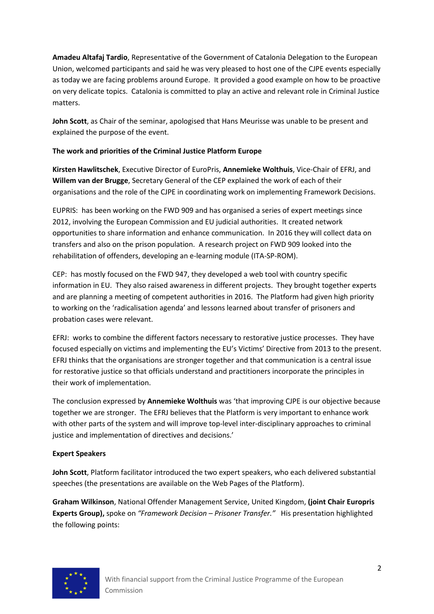**Amadeu Altafaj Tardio**, Representative of the Government of Catalonia Delegation to the European Union, welcomed participants and said he was very pleased to host one of the CJPE events especially as today we are facing problems around Europe. It provided a good example on how to be proactive on very delicate topics. Catalonia is committed to play an active and relevant role in Criminal Justice matters.

**John Scott**, as Chair of the seminar, apologised that Hans Meurisse was unable to be present and explained the purpose of the event.

## **The work and priorities of the Criminal Justice Platform Europe**

**Kirsten Hawlitschek**, Executive Director of EuroPris, **Annemieke Wolthuis**, Vice-Chair of EFRJ, and **Willem van der Brugge**, Secretary General of the CEP explained the work of each of their organisations and the role of the CJPE in coordinating work on implementing Framework Decisions.

EUPRIS: has been working on the FWD 909 and has organised a series of expert meetings since 2012, involving the European Commission and EU judicial authorities. It created network opportunities to share information and enhance communication. In 2016 they will collect data on transfers and also on the prison population. A research project on FWD 909 looked into the rehabilitation of offenders, developing an e-learning module (ITA-SP-ROM).

CEP: has mostly focused on the FWD 947, they developed a web tool with country specific information in EU. They also raised awareness in different projects. They brought together experts and are planning a meeting of competent authorities in 2016. The Platform had given high priority to working on the 'radicalisation agenda' and lessons learned about transfer of prisoners and probation cases were relevant.

EFRJ: works to combine the different factors necessary to restorative justice processes. They have focused especially on victims and implementing the EU's Victims' Directive from 2013 to the present. EFRJ thinks that the organisations are stronger together and that communication is a central issue for restorative justice so that officials understand and practitioners incorporate the principles in their work of implementation.

The conclusion expressed by **Annemieke Wolthuis** was 'that improving CJPE is our objective because together we are stronger. The EFRJ believes that the Platform is very important to enhance work with other parts of the system and will improve top-level inter-disciplinary approaches to criminal justice and implementation of directives and decisions.'

### **Expert Speakers**

**John Scott**, Platform facilitator introduced the two expert speakers, who each delivered substantial speeches (the presentations are available on the Web Pages of the Platform).

**Graham Wilkinson**, National Offender Management Service, United Kingdom, **(joint Chair Europris Experts Group),** spoke on "*Framework Decision – Prisoner Transfer.*" His presentation highlighted the following points:

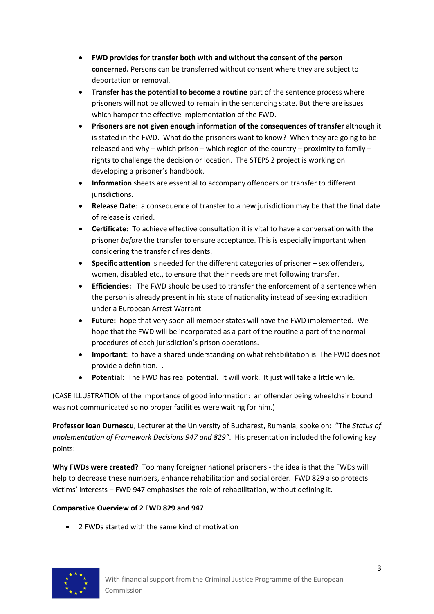- **FWD provides for transfer both with and without the consent of the person concerned.** Persons can be transferred without consent where they are subject to deportation or removal.
- **Transfer has the potential to become a routine** part of the sentence process where prisoners will not be allowed to remain in the sentencing state. But there are issues which hamper the effective implementation of the FWD.
- **Prisoners are not given enough information of the consequences of transfer** although it is stated in the FWD. What do the prisoners want to know? When they are going to be released and why – which prison – which region of the country – proximity to family – rights to challenge the decision or location. The STEPS 2 project is working on developing a prisoner's handbook.
- **Information** sheets are essential to accompany offenders on transfer to different jurisdictions.
- **Release Date**: a consequence of transfer to a new jurisdiction may be that the final date of release is varied.
- **Certificate:** To achieve effective consultation it is vital to have a conversation with the prisoner *before* the transfer to ensure acceptance. This is especially important when considering the transfer of residents.
- **Specific attention** is needed for the different categories of prisoner sex offenders, women, disabled etc., to ensure that their needs are met following transfer.
- **Efficiencies:** The FWD should be used to transfer the enforcement of a sentence when the person is already present in his state of nationality instead of seeking extradition under a European Arrest Warrant.
- **Future:** hope that very soon all member states will have the FWD implemented. We hope that the FWD will be incorporated as a part of the routine a part of the normal procedures of each jurisdiction's prison operations.
- **Important**: to have a shared understanding on what rehabilitation is. The FWD does not provide a definition. .
- Potential: The FWD has real potential. It will work. It just will take a little while.

(CASE ILLUSTRATION of the importance of good information: an offender being wheelchair bound was not communicated so no proper facilities were waiting for him.)

**Professor Ioan Durnescu**, Lecturer at the University of Bucharest, Rumania, spoke on: "The *Status of implementation of Framework Decisions 947 and 829"*. His presentation included the following key points:

**Why FWDs were created?** Too many foreigner national prisoners - the idea is that the FWDs will help to decrease these numbers, enhance rehabilitation and social order. FWD 829 also protects victims' interests – FWD 947 emphasises the role of rehabilitation, without defining it.

## **Comparative Overview of 2 FWD 829 and 947**

2 FWDs started with the same kind of motivation

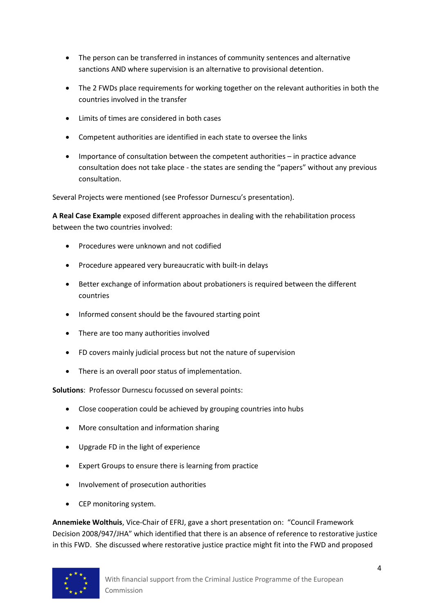- The person can be transferred in instances of community sentences and alternative sanctions AND where supervision is an alternative to provisional detention.
- The 2 FWDs place requirements for working together on the relevant authorities in both the countries involved in the transfer
- Limits of times are considered in both cases
- Competent authorities are identified in each state to oversee the links
- Importance of consultation between the competent authorities in practice advance consultation does not take place - the states are sending the "papers" without any previous consultation.

Several Projects were mentioned (see Professor Durnescu's presentation).

**A Real Case Example** exposed different approaches in dealing with the rehabilitation process between the two countries involved:

- Procedures were unknown and not codified
- Procedure appeared very bureaucratic with built-in delays
- Better exchange of information about probationers is required between the different countries
- Informed consent should be the favoured starting point
- There are too many authorities involved
- FD covers mainly judicial process but not the nature of supervision
- There is an overall poor status of implementation.

**Solutions**: Professor Durnescu focussed on several points:

- Close cooperation could be achieved by grouping countries into hubs
- More consultation and information sharing
- Upgrade FD in the light of experience
- Expert Groups to ensure there is learning from practice
- Involvement of prosecution authorities
- CEP monitoring system.

**Annemieke Wolthuis**, Vice-Chair of EFRJ, gave a short presentation on: "Council Framework Decision 2008/947/JHA" which identified that there is an absence of reference to restorative justice in this FWD. She discussed where restorative justice practice might fit into the FWD and proposed

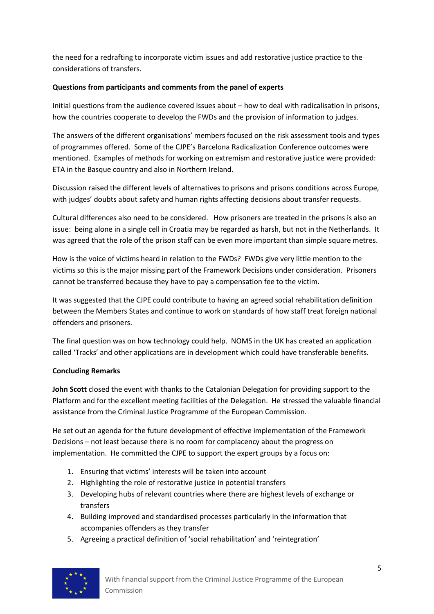the need for a redrafting to incorporate victim issues and add restorative justice practice to the considerations of transfers.

## **Questions from participants and comments from the panel of experts**

Initial questions from the audience covered issues about – how to deal with radicalisation in prisons, how the countries cooperate to develop the FWDs and the provision of information to judges.

The answers of the different organisations' members focused on the risk assessment tools and types of programmes offered. Some of the CJPE's Barcelona Radicalization Conference outcomes were mentioned. Examples of methods for working on extremism and restorative justice were provided: ETA in the Basque country and also in Northern Ireland.

Discussion raised the different levels of alternatives to prisons and prisons conditions across Europe, with judges' doubts about safety and human rights affecting decisions about transfer requests.

Cultural differences also need to be considered. How prisoners are treated in the prisons is also an issue: being alone in a single cell in Croatia may be regarded as harsh, but not in the Netherlands. It was agreed that the role of the prison staff can be even more important than simple square metres.

How is the voice of victims heard in relation to the FWDs? FWDs give very little mention to the victims so this is the major missing part of the Framework Decisions under consideration. Prisoners cannot be transferred because they have to pay a compensation fee to the victim.

It was suggested that the CJPE could contribute to having an agreed social rehabilitation definition between the Members States and continue to work on standards of how staff treat foreign national offenders and prisoners.

The final question was on how technology could help. NOMS in the UK has created an application called 'Tracks' and other applications are in development which could have transferable benefits.

### **Concluding Remarks**

**John Scott** closed the event with thanks to the Catalonian Delegation for providing support to the Platform and for the excellent meeting facilities of the Delegation. He stressed the valuable financial assistance from the Criminal Justice Programme of the European Commission.

He set out an agenda for the future development of effective implementation of the Framework Decisions – not least because there is no room for complacency about the progress on implementation. He committed the CJPE to support the expert groups by a focus on:

- 1. Ensuring that victims' interests will be taken into account
- 2. Highlighting the role of restorative justice in potential transfers
- 3. Developing hubs of relevant countries where there are highest levels of exchange or transfers
- 4. Building improved and standardised processes particularly in the information that accompanies offenders as they transfer
- 5. Agreeing a practical definition of 'social rehabilitation' and 'reintegration'